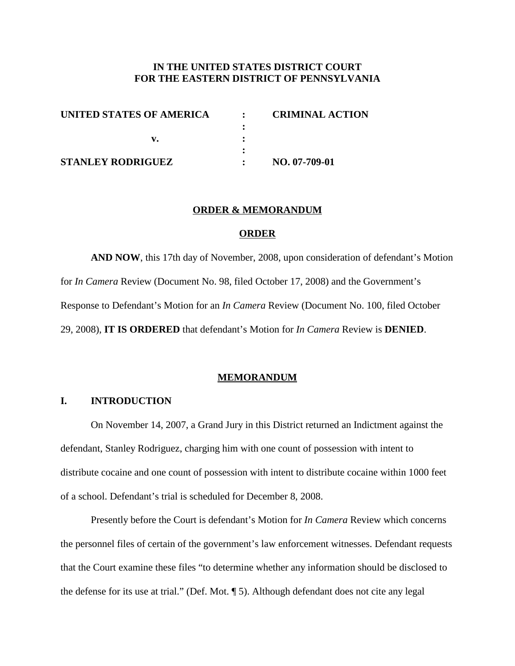## **IN THE UNITED STATES DISTRICT COURT FOR THE EASTERN DISTRICT OF PENNSYLVANIA**

| UNITED STATES OF AMERICA | $\ddot{\cdot}$ | <b>CRIMINAL ACTION</b> |
|--------------------------|----------------|------------------------|
|                          |                |                        |
|                          |                |                        |
|                          |                |                        |
| <b>STANLEY RODRIGUEZ</b> |                | NO. 07-709-01          |

#### **ORDER & MEMORANDUM**

#### **ORDER**

**AND NOW**, this 17th day of November, 2008, upon consideration of defendant's Motion for *In Camera* Review (Document No. 98, filed October 17, 2008) and the Government's Response to Defendant's Motion for an *In Camera* Review (Document No. 100, filed October 29, 2008), **IT IS ORDERED** that defendant's Motion for *In Camera* Review is **DENIED**.

#### **MEMORANDUM**

### **I. INTRODUCTION**

On November 14, 2007, a Grand Jury in this District returned an Indictment against the defendant, Stanley Rodriguez, charging him with one count of possession with intent to distribute cocaine and one count of possession with intent to distribute cocaine within 1000 feet of a school. Defendant's trial is scheduled for December 8, 2008.

Presently before the Court is defendant's Motion for *In Camera* Review which concerns the personnel files of certain of the government's law enforcement witnesses. Defendant requests that the Court examine these files "to determine whether any information should be disclosed to the defense for its use at trial." (Def. Mot. ¶ 5). Although defendant does not cite any legal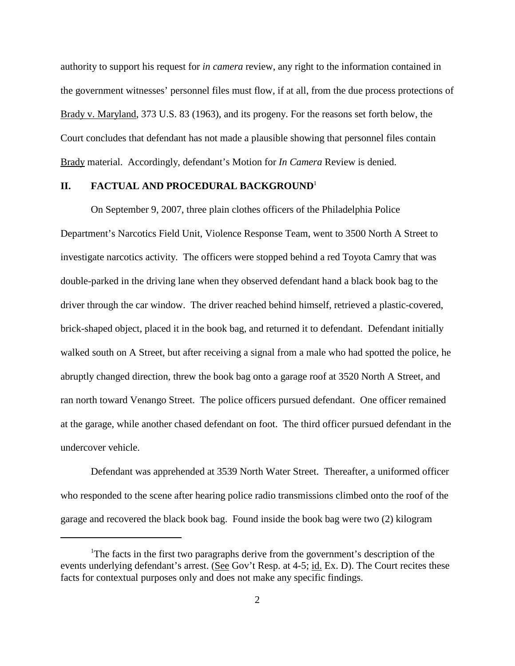authority to support his request for *in camera* review, any right to the information contained in the government witnesses' personnel files must flow, if at all, from the due process protections of Brady v. Maryland, 373 U.S. 83 (1963), and its progeny. For the reasons set forth below, the Court concludes that defendant has not made a plausible showing that personnel files contain Brady material. Accordingly, defendant's Motion for *In Camera* Review is denied.

## **II. FACTUAL AND PROCEDURAL BACKGROUND**<sup>1</sup>

On September 9, 2007, three plain clothes officers of the Philadelphia Police Department's Narcotics Field Unit, Violence Response Team, went to 3500 North A Street to investigate narcotics activity. The officers were stopped behind a red Toyota Camry that was double-parked in the driving lane when they observed defendant hand a black book bag to the driver through the car window. The driver reached behind himself, retrieved a plastic-covered, brick-shaped object, placed it in the book bag, and returned it to defendant. Defendant initially walked south on A Street, but after receiving a signal from a male who had spotted the police, he abruptly changed direction, threw the book bag onto a garage roof at 3520 North A Street, and ran north toward Venango Street. The police officers pursued defendant. One officer remained at the garage, while another chased defendant on foot. The third officer pursued defendant in the undercover vehicle.

Defendant was apprehended at 3539 North Water Street. Thereafter, a uniformed officer who responded to the scene after hearing police radio transmissions climbed onto the roof of the garage and recovered the black book bag. Found inside the book bag were two (2) kilogram

<sup>&</sup>lt;sup>1</sup>The facts in the first two paragraphs derive from the government's description of the events underlying defendant's arrest. (See Gov't Resp. at 4-5; id. Ex. D). The Court recites these facts for contextual purposes only and does not make any specific findings.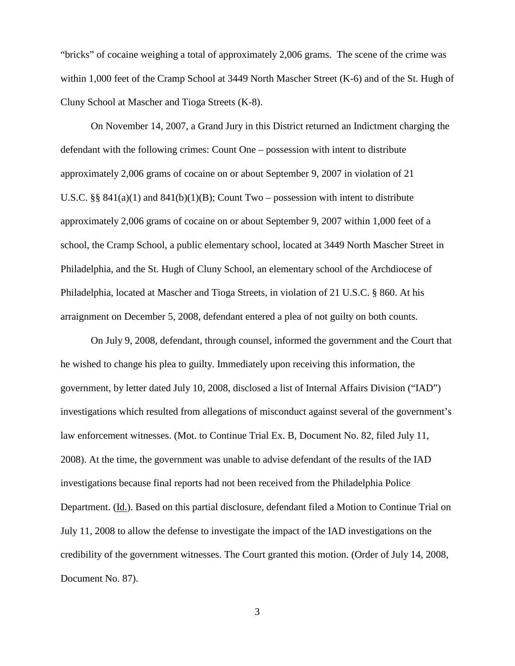"bricks" of cocaine weighing a total of approximately 2,006 grams. The scene of the crime was within 1,000 feet of the Cramp School at 3449 North Mascher Street (K-6) and of the St. Hugh of Cluny School at Mascher and Tioga Streets (K-8).

On November 14, 2007, a Grand Jury in this District returned an Indictment charging the defendant with the following crimes: Count One – possession with intent to distribute approximately 2,006 grams of cocaine on or about September 9, 2007 in violation of 21 U.S.C. §§  $841(a)(1)$  and  $841(b)(1)(B)$ ; Count Two – possession with intent to distribute approximately 2,006 grams of cocaine on or about September 9, 2007 within 1,000 feet of a school, the Cramp School, a public elementary school, located at 3449 North Mascher Street in Philadelphia, and the St. Hugh of Cluny School, an elementary school of the Archdiocese of Philadelphia, located at Mascher and Tioga Streets, in violation of 21 U.S.C. § 860. At his arraignment on December 5, 2008, defendant entered a plea of not guilty on both counts.

On July 9, 2008, defendant, through counsel, informed the government and the Court that he wished to change his plea to guilty. Immediately upon receiving this information, the government, by letter dated July 10, 2008, disclosed a list of Internal Affairs Division ("IAD") investigations which resulted from allegations of misconduct against several of the government's law enforcement witnesses. (Mot. to Continue Trial Ex. B, Document No. 82, filed July 11, 2008). At the time, the government was unable to advise defendant of the results of the IAD investigations because final reports had not been received from the Philadelphia Police Department. (Id.). Based on this partial disclosure, defendant filed a Motion to Continue Trial on July 11, 2008 to allow the defense to investigate the impact of the IAD investigations on the credibility of the government witnesses. The Court granted this motion. (Order of July 14, 2008, Document No. 87).

3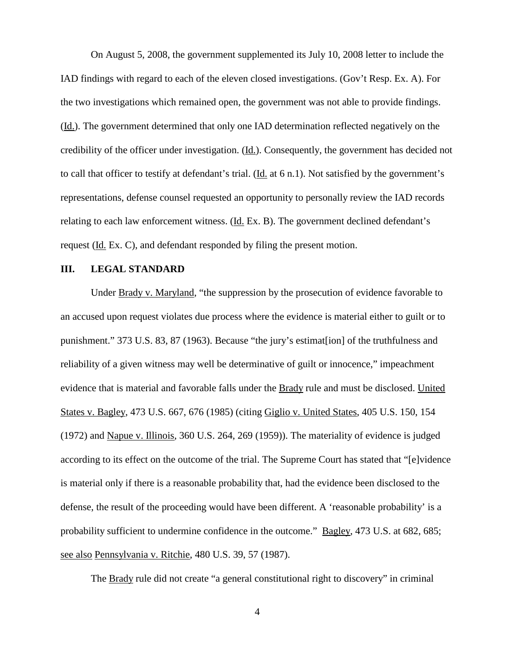On August 5, 2008, the government supplemented its July 10, 2008 letter to include the IAD findings with regard to each of the eleven closed investigations. (Gov't Resp. Ex. A). For the two investigations which remained open, the government was not able to provide findings. (Id.). The government determined that only one IAD determination reflected negatively on the credibility of the officer under investigation. (Id.). Consequently, the government has decided not to call that officer to testify at defendant's trial. (Id. at 6 n.1). Not satisfied by the government's representations, defense counsel requested an opportunity to personally review the IAD records relating to each law enforcement witness. (Id. Ex. B). The government declined defendant's request (Id. Ex. C), and defendant responded by filing the present motion.

## **III. LEGAL STANDARD**

Under Brady v. Maryland, "the suppression by the prosecution of evidence favorable to an accused upon request violates due process where the evidence is material either to guilt or to punishment." 373 U.S. 83, 87 (1963). Because "the jury's estimat[ion] of the truthfulness and reliability of a given witness may well be determinative of guilt or innocence," impeachment evidence that is material and favorable falls under the Brady rule and must be disclosed. United States v. Bagley, 473 U.S. 667, 676 (1985) (citing Giglio v. United States, 405 U.S. 150, 154 (1972) and Napue v. Illinois, 360 U.S. 264, 269 (1959)). The materiality of evidence is judged according to its effect on the outcome of the trial. The Supreme Court has stated that "[e]vidence is material only if there is a reasonable probability that, had the evidence been disclosed to the defense, the result of the proceeding would have been different. A 'reasonable probability' is a probability sufficient to undermine confidence in the outcome." <u>Bagley</u>, 473 U.S. at 682, 685; see also Pennsylvania v. Ritchie, 480 U.S. 39, 57 (1987).

The Brady rule did not create "a general constitutional right to discovery" in criminal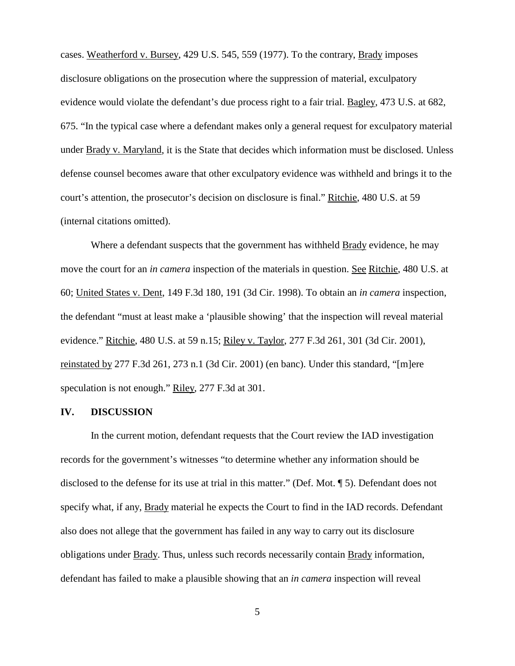cases. Weatherford v. Bursey, 429 U.S. 545, 559 (1977). To the contrary, Brady imposes disclosure obligations on the prosecution where the suppression of material, exculpatory evidence would violate the defendant's due process right to a fair trial. Bagley, 473 U.S. at 682, 675. "In the typical case where a defendant makes only a general request for exculpatory material under Brady v. Maryland, it is the State that decides which information must be disclosed. Unless defense counsel becomes aware that other exculpatory evidence was withheld and brings it to the court's attention, the prosecutor's decision on disclosure is final." Ritchie, 480 U.S. at 59 (internal citations omitted).

Where a defendant suspects that the government has withheld **Brady** evidence, he may move the court for an *in camera* inspection of the materials in question. See Ritchie, 480 U.S. at 60; United States v. Dent, 149 F.3d 180, 191 (3d Cir. 1998). To obtain an *in camera* inspection, the defendant "must at least make a 'plausible showing' that the inspection will reveal material evidence." Ritchie, 480 U.S. at 59 n.15; Riley v. Taylor, 277 F.3d 261, 301 (3d Cir. 2001), reinstated by 277 F.3d 261, 273 n.1 (3d Cir. 2001) (en banc). Under this standard, "[m]ere speculation is not enough." Riley, 277 F.3d at 301.

### **IV. DISCUSSION**

In the current motion, defendant requests that the Court review the IAD investigation records for the government's witnesses "to determine whether any information should be disclosed to the defense for its use at trial in this matter." (Def. Mot. ¶ 5). Defendant does not specify what, if any, Brady material he expects the Court to find in the IAD records. Defendant also does not allege that the government has failed in any way to carry out its disclosure obligations under Brady. Thus, unless such records necessarily contain Brady information, defendant has failed to make a plausible showing that an *in camera* inspection will reveal

5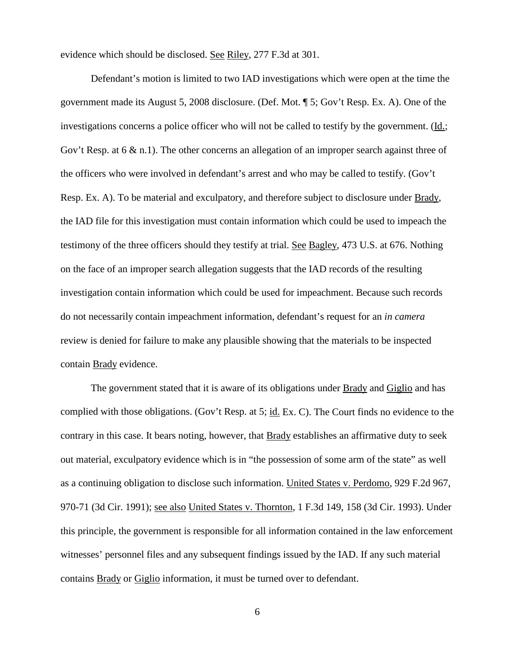evidence which should be disclosed. See Riley, 277 F.3d at 301.

Defendant's motion is limited to two IAD investigations which were open at the time the government made its August 5, 2008 disclosure. (Def. Mot. ¶ 5; Gov't Resp. Ex. A). One of the investigations concerns a police officer who will not be called to testify by the government. (Id.; Gov't Resp. at 6 & n.1). The other concerns an allegation of an improper search against three of the officers who were involved in defendant's arrest and who may be called to testify. (Gov't Resp. Ex. A). To be material and exculpatory, and therefore subject to disclosure under Brady, the IAD file for this investigation must contain information which could be used to impeach the testimony of the three officers should they testify at trial. See Bagley, 473 U.S. at 676. Nothing on the face of an improper search allegation suggests that the IAD records of the resulting investigation contain information which could be used for impeachment. Because such records do not necessarily contain impeachment information, defendant's request for an *in camera* review is denied for failure to make any plausible showing that the materials to be inspected contain Brady evidence.

The government stated that it is aware of its obligations under Brady and Giglio and has complied with those obligations. (Gov't Resp. at 5; id. Ex. C). The Court finds no evidence to the contrary in this case. It bears noting, however, that Brady establishes an affirmative duty to seek out material, exculpatory evidence which is in "the possession of some arm of the state" as well as a continuing obligation to disclose such information. United States v. Perdomo, 929 F.2d 967, 970-71 (3d Cir. 1991); see also United States v. Thornton, 1 F.3d 149, 158 (3d Cir. 1993). Under this principle, the government is responsible for all information contained in the law enforcement witnesses' personnel files and any subsequent findings issued by the IAD. If any such material contains Brady or Giglio information, it must be turned over to defendant.

6